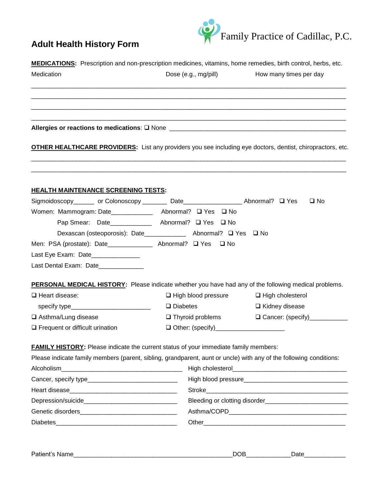



| Medication                                                                                                         | Dose (e.g., mg/pill)       | How many times per day         |  |
|--------------------------------------------------------------------------------------------------------------------|----------------------------|--------------------------------|--|
|                                                                                                                    |                            |                                |  |
|                                                                                                                    |                            |                                |  |
| OTHER HEALTHCARE PROVIDERS: List any providers you see including eye doctors, dentist, chiropractors, etc.         |                            |                                |  |
| <u>HEALTH MAINTENANCE SCREENING TESTS:</u>                                                                         |                            |                                |  |
| Sigmoidoscopy_______ or Colonoscopy ________ Date__________________Abnormal? □ Yes                                 |                            | $\square$ No                   |  |
| Women: Mammogram: Date_______________ Abnormal? Q Yes Q No                                                         |                            |                                |  |
| Pap Smear: Date______________ Abnormal? □ Yes □ No                                                                 |                            |                                |  |
| Dexascan (osteoporosis): Date________________ Abnormal? □ Yes □ No                                                 |                            |                                |  |
| Men: PSA (prostate): Date______________ Abnormal? □ Yes                                                            | □ No                       |                                |  |
| Last Eye Exam: Date______________                                                                                  |                            |                                |  |
| Last Dental Exam: Date_____________                                                                                |                            |                                |  |
| <b>PERSONAL MEDICAL HISTORY:</b> Please indicate whether you have had any of the following medical problems.       |                            |                                |  |
| Heart disease:                                                                                                     | $\Box$ High blood pressure | □ High cholesterol             |  |
| specify type_______________________________                                                                        | $\Box$ Diabetes            | $\Box$ Kidney disease          |  |
| □ Asthma/Lung disease                                                                                              | $\Box$ Thyroid problems    | □ Cancer: (specify)___________ |  |
| $\Box$ Frequent or difficult urination                                                                             |                            |                                |  |
| <b>FAMILY HISTORY:</b> Please indicate the current status of your immediate family members:                        |                            |                                |  |
| Please indicate family members (parent, sibling, grandparent, aunt or uncle) with any of the following conditions: |                            |                                |  |
|                                                                                                                    |                            |                                |  |
|                                                                                                                    |                            |                                |  |
|                                                                                                                    |                            |                                |  |
|                                                                                                                    |                            |                                |  |
|                                                                                                                    |                            |                                |  |
|                                                                                                                    |                            |                                |  |

| -<br>- | ___<br>- -<br>11 L<br>-<br>______ | <b>Contract Contract</b><br>.<br>____ |  |
|--------|-----------------------------------|---------------------------------------|--|
|--------|-----------------------------------|---------------------------------------|--|